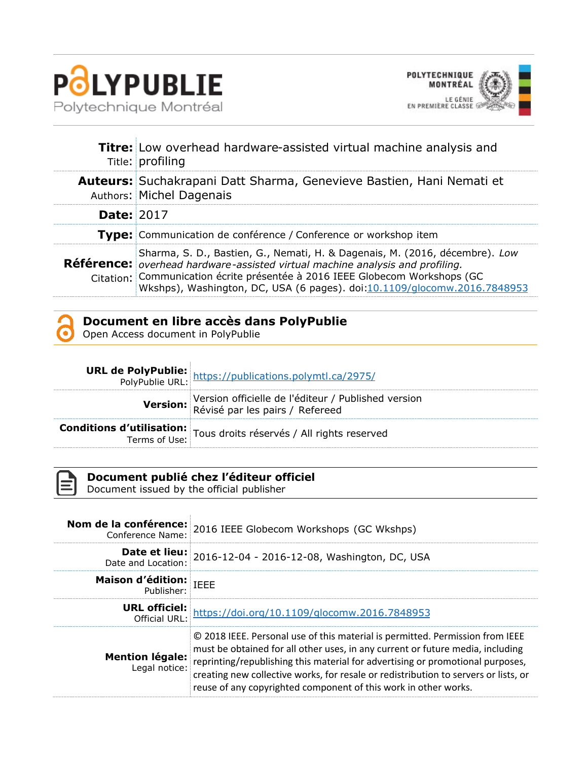



|                   | <b>Titre:</b> Low overhead hardware-assisted virtual machine analysis and<br>Title: profiling                                                                                                                                                                                                                                  |
|-------------------|--------------------------------------------------------------------------------------------------------------------------------------------------------------------------------------------------------------------------------------------------------------------------------------------------------------------------------|
|                   | <b>Auteurs:</b> Suchakrapani Datt Sharma, Genevieve Bastien, Hani Nemati et<br>Authors: Michel Dagenais                                                                                                                                                                                                                        |
| <b>Date: 2017</b> |                                                                                                                                                                                                                                                                                                                                |
|                   | Type: Communication de conférence / Conference or workshop item                                                                                                                                                                                                                                                                |
|                   | Sharma, S. D., Bastien, G., Nemati, H. & Dagenais, M. (2016, décembre). Low<br><b>Référence:</b> overhead hardware-assisted virtual machine analysis and profiling.<br>Citation: Communication écrite présentée à 2016 IEEE Globecom Workshops (GC<br>Wkshps), Washington, DC, USA (6 pages). doi:10.1109/glocomw.2016.7848953 |



# **Document en libre accès dans PolyPublie**

Open Access document in PolyPublie

| <b>URL de PolyPublie:</b> https://publications.polymtl.ca/2975/<br>PolyPublie URL: https://publications.polymtl.ca/2975/ |
|--------------------------------------------------------------------------------------------------------------------------|
| Version officielle de l'éditeur / Published version<br>Révisé par les pairs / Refereed                                   |
| <b>Conditions d'utilisation:</b><br>Terms of Use: Tous droits réservés / All rights reserved                             |



# **Document publié chez l'éditeur officiel**

Document issued by the official publisher

| <b>Nom de la conférence:</b><br>Conference Name: | 2016 IEEE Globecom Workshops (GC Wkshps)                                                                                                                                                                                                                                                                                                                                                                    |
|--------------------------------------------------|-------------------------------------------------------------------------------------------------------------------------------------------------------------------------------------------------------------------------------------------------------------------------------------------------------------------------------------------------------------------------------------------------------------|
|                                                  | Date et lieu: 2016-12-04 - 2016-12-08, Washington, DC, USA<br>Date and Location: 2016-12-04 - 2016-12-08, Washington, DC, USA                                                                                                                                                                                                                                                                               |
| Maison d'édition: IEEE<br>Publisher:             |                                                                                                                                                                                                                                                                                                                                                                                                             |
|                                                  | URL officiel: https://doi.org/10.1109/glocomw.2016.7848953                                                                                                                                                                                                                                                                                                                                                  |
| <b>Mention légale:</b><br>Legal notice:          | © 2018 IEEE. Personal use of this material is permitted. Permission from IEEE<br>must be obtained for all other uses, in any current or future media, including<br>reprinting/republishing this material for advertising or promotional purposes,<br>creating new collective works, for resale or redistribution to servers or lists, or<br>reuse of any copyrighted component of this work in other works. |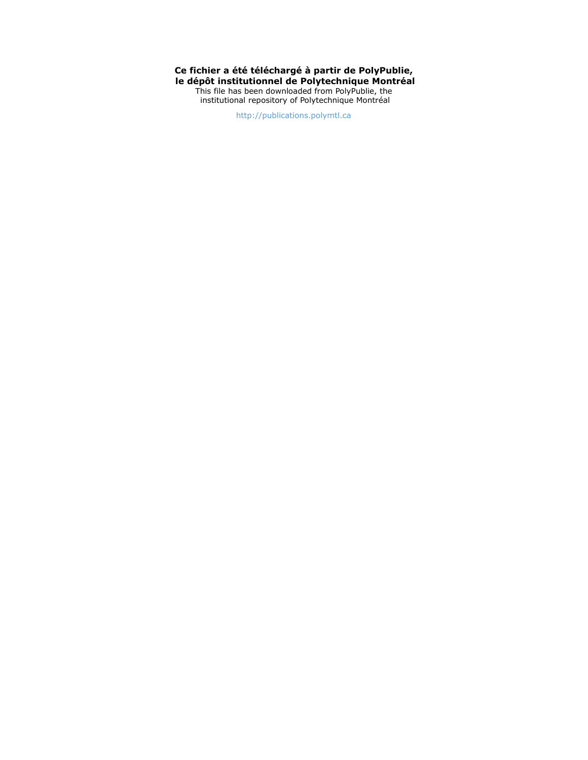**Ce fichier a été téléchargé à partir de PolyPublie, le dépôt institutionnel de Polytechnique Montréal** This file has been downloaded from PolyPublie, the institutional repository of Polytechnique Montréal

[http://publications.polymtl.ca](http://publications.polymtl.ca/)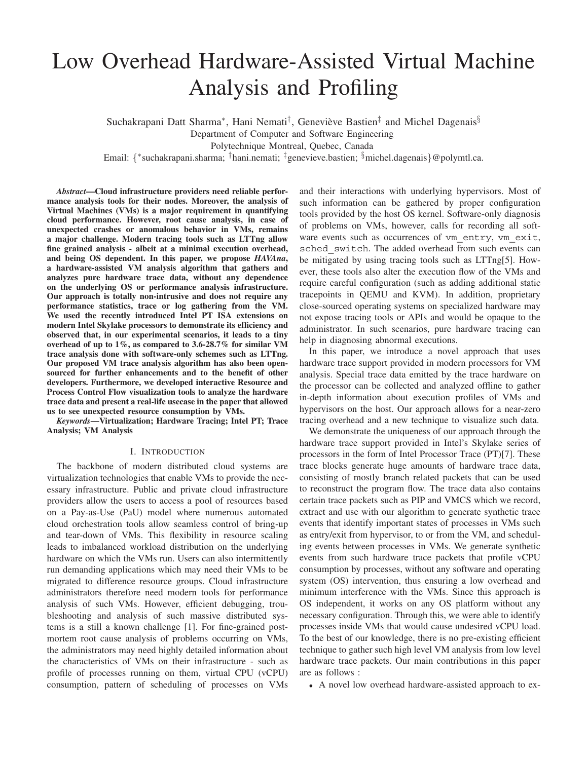# Low Overhead Hardware-Assisted Virtual Machine Analysis and Profiling

Suchakrapani Datt Sharma<sup>∗</sup>, Hani Nemati<sup>†</sup>, Geneviève Bastien<sup>‡</sup> and Michel Dagenais<sup>§</sup> Department of Computer and Software Engineering Polytechnique Montreal, Quebec, Canada Email: {∗suchakrapani.sharma; †hani.nemati; ‡genevieve.bastien; §michel.dagenais}@polymtl.ca.

*Abstract***—Cloud infrastructure providers need reliable performance analysis tools for their nodes. Moreover, the analysis of Virtual Machines (VMs) is a major requirement in quantifying cloud performance. However, root cause analysis, in case of unexpected crashes or anomalous behavior in VMs, remains a major challenge. Modern tracing tools such as LTTng allow fine grained analysis - albeit at a minimal execution overhead, and being OS dependent. In this paper, we propose** *HAVAna***, a hardware-assisted VM analysis algorithm that gathers and analyzes pure hardware trace data, without any dependence on the underlying OS or performance analysis infrastructure. Our approach is totally non-intrusive and does not require any performance statistics, trace or log gathering from the VM. We used the recently introduced Intel PT ISA extensions on modern Intel Skylake processors to demonstrate its efficiency and observed that, in our experimental scenarios, it leads to a tiny overhead of up to 1%, as compared to 3.6-28.7% for similar VM trace analysis done with software-only schemes such as LTTng. Our proposed VM trace analysis algorithm has also been opensourced for further enhancements and to the benefit of other developers. Furthermore, we developed interactive Resource and Process Control Flow visualization tools to analyze the hardware trace data and present a real-life usecase in the paper that allowed us to see unexpected resource consumption by VMs.**

*Keywords***—Virtualization; Hardware Tracing; Intel PT; Trace Analysis; VM Analysis**

# I. INTRODUCTION

The backbone of modern distributed cloud systems are virtualization technologies that enable VMs to provide the necessary infrastructure. Public and private cloud infrastructure providers allow the users to access a pool of resources based on a Pay-as-Use (PaU) model where numerous automated cloud orchestration tools allow seamless control of bring-up and tear-down of VMs. This flexibility in resource scaling leads to imbalanced workload distribution on the underlying hardware on which the VMs run. Users can also intermittently run demanding applications which may need their VMs to be migrated to difference resource groups. Cloud infrastructure administrators therefore need modern tools for performance analysis of such VMs. However, efficient debugging, troubleshooting and analysis of such massive distributed systems is a still a known challenge [1]. For fine-grained postmortem root cause analysis of problems occurring on VMs, the administrators may need highly detailed information about the characteristics of VMs on their infrastructure - such as profile of processes running on them, virtual CPU (vCPU) consumption, pattern of scheduling of processes on VMs

and their interactions with underlying hypervisors. Most of such information can be gathered by proper configuration tools provided by the host OS kernel. Software-only diagnosis of problems on VMs, however, calls for recording all software events such as occurrences of vm\_entry, vm\_exit, sched\_switch. The added overhead from such events can be mitigated by using tracing tools such as LTTng[5]. However, these tools also alter the execution flow of the VMs and require careful configuration (such as adding additional static tracepoints in QEMU and KVM). In addition, proprietary close-sourced operating systems on specialized hardware may not expose tracing tools or APIs and would be opaque to the administrator. In such scenarios, pure hardware tracing can help in diagnosing abnormal executions.

In this paper, we introduce a novel approach that uses hardware trace support provided in modern processors for VM analysis. Special trace data emitted by the trace hardware on the processor can be collected and analyzed offline to gather in-depth information about execution profiles of VMs and hypervisors on the host. Our approach allows for a near-zero tracing overhead and a new technique to visualize such data.

We demonstrate the uniqueness of our approach through the hardware trace support provided in Intel's Skylake series of processors in the form of Intel Processor Trace (PT)[7]. These trace blocks generate huge amounts of hardware trace data, consisting of mostly branch related packets that can be used to reconstruct the program flow. The trace data also contains certain trace packets such as PIP and VMCS which we record, extract and use with our algorithm to generate synthetic trace events that identify important states of processes in VMs such as entry/exit from hypervisor, to or from the VM, and scheduling events between processes in VMs. We generate synthetic events from such hardware trace packets that profile vCPU consumption by processes, without any software and operating system (OS) intervention, thus ensuring a low overhead and minimum interference with the VMs. Since this approach is OS independent, it works on any OS platform without any necessary configuration. Through this, we were able to identify processes inside VMs that would cause undesired vCPU load. To the best of our knowledge, there is no pre-existing efficient technique to gather such high level VM analysis from low level hardware trace packets. Our main contributions in this paper are as follows :

<sup>∙</sup> A novel low overhead hardware-assisted approach to ex-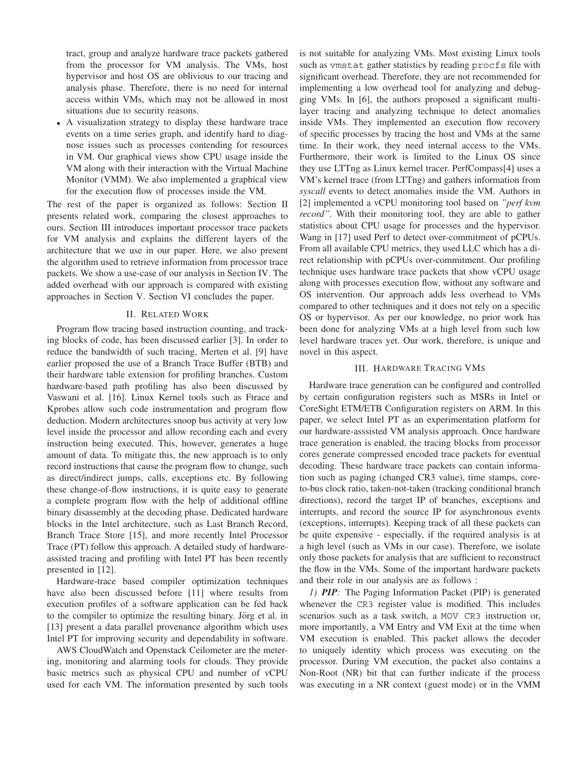tract, group and analyze hardware trace packets gathered from the processor for VM analysis. The VMs, host hypervisor and host OS are oblivious to our tracing and analysis phase. Therefore, there is no need for internal access within VMs, which may not be allowed in most situations due to security reasons.

<sup>∙</sup> A visualization strategy to display these hardware trace events on a time series graph, and identify hard to diagnose issues such as processes contending for resources in VM. Our graphical views show CPU usage inside the VM along with their interaction with the Virtual Machine Monitor (VMM). We also implemented a graphical view for the execution flow of processes inside the VM.

The rest of the paper is organized as follows: Section II presents related work, comparing the closest approaches to ours. Section III introduces important processor trace packets for VM analysis and explains the different layers of the architecture that we use in our paper. Here, we also present the algorithm used to retrieve information from processor trace packets. We show a use-case of our analysis in Section IV. The added overhead with our approach is compared with existing approaches in Section V. Section VI concludes the paper.

# II. RELATED WORK

Program flow tracing based instruction counting, and tracking blocks of code, has been discussed earlier [3]. In order to reduce the bandwidth of such tracing, Merten et al. [9] have earlier proposed the use of a Branch Trace Buffer (BTB) and their hardware table extension for profiling branches. Custom hardware-based path profiling has also been discussed by Vaswani et al. [16]. Linux Kernel tools such as Ftrace and Kprobes allow such code instrumentation and program flow deduction. Modern architectures snoop bus activity at very low level inside the processor and allow recording each and every instruction being executed. This, however, generates a huge amount of data. To mitigate this, the new approach is to only record instructions that cause the program flow to change, such as direct/indirect jumps, calls, exceptions etc. By following these change-of-flow instructions, it is quite easy to generate a complete program flow with the help of additional offline binary disassembly at the decoding phase. Dedicated hardware blocks in the Intel architecture, such as Last Branch Record, Branch Trace Store [15], and more recently Intel Processor Trace (PT) follow this approach. A detailed study of hardwareassisted tracing and profiling with Intel PT has been recently presented in [12].

Hardware-trace based compiler optimization techniques have also been discussed before [11] where results from execution profiles of a software application can be fed back to the compiler to optimize the resulting binary. Jörg et al. in [13] present a data parallel provenance algorithm which uses Intel PT for improving security and dependability in software.

AWS CloudWatch and Openstack Ceilometer are the metering, monitoring and alarming tools for clouds. They provide basic metrics such as physical CPU and number of vCPU used for each VM. The information presented by such tools is not suitable for analyzing VMs. Most existing Linux tools such as vmstat gather statistics by reading procfs file with significant overhead. Therefore, they are not recommended for implementing a low overhead tool for analyzing and debugging VMs. In [6], the authors proposed a significant multilayer tracing and analyzing technique to detect anomalies inside VMs. They implemented an execution flow recovery of specific processes by tracing the host and VMs at the same time. In their work, they need internal access to the VMs. Furthermore, their work is limited to the Linux OS since they use LTTng as Linux kernel tracer. PerfCompass[4] uses a VM's kernel trace (from LTTng) and gathers information from *syscall* events to detect anomalies inside the VM. Authors in [2] implemented a vCPU monitoring tool based on *"perf kvm record"*. With their monitoring tool, they are able to gather statistics about CPU usage for processes and the hypervisor. Wang in [17] used Perf to detect over-commitment of pCPUs. From all available CPU metrics, they used LLC which has a direct relationship with pCPUs over-commitment. Our profiling technique uses hardware trace packets that show vCPU usage along with processes execution flow, without any software and OS intervention. Our approach adds less overhead to VMs compared to other techniques and it does not rely on a specific OS or hypervisor. As per our knowledge, no prior work has been done for analyzing VMs at a high level from such low level hardware traces yet. Our work, therefore, is unique and novel in this aspect.

#### III. HARDWARE TRACING VMS

Hardware trace generation can be configured and controlled by certain configuration registers such as MSRs in Intel or CoreSight ETM/ETB Configuration registers on ARM. In this paper, we select Intel PT as an experimentation platform for our hardware-asssisted VM analysis approach. Once hardware trace generation is enabled, the tracing blocks from processor cores generate compressed encoded trace packets for eventual decoding. These hardware trace packets can contain information such as paging (changed CR3 value), time stamps, coreto-bus clock ratio, taken-not-taken (tracking conditional branch directions), record the target IP of branches, exceptions and interrupts, and record the source IP for asynchronous events (exceptions, interrupts). Keeping track of all these packets can be quite expensive - especially, if the required analysis is at a high level (such as VMs in our case). Therefore, we isolate only those packets for analysis that are sufficient to reconstruct the flow in the VMs. Some of the important hardware packets and their role in our analysis are as follows :

*1) PIP:* The Paging Information Packet (PIP) is generated whenever the CR3 register value is modified. This includes scenarios such as a task switch, a MOV CR3 instruction or, more importantly, a VM Entry and VM Exit at the time when VM execution is enabled. This packet allows the decoder to uniquely identity which process was executing on the processor. During VM execution, the packet also contains a Non-Root (NR) bit that can further indicate if the process was executing in a NR context (guest mode) or in the VMM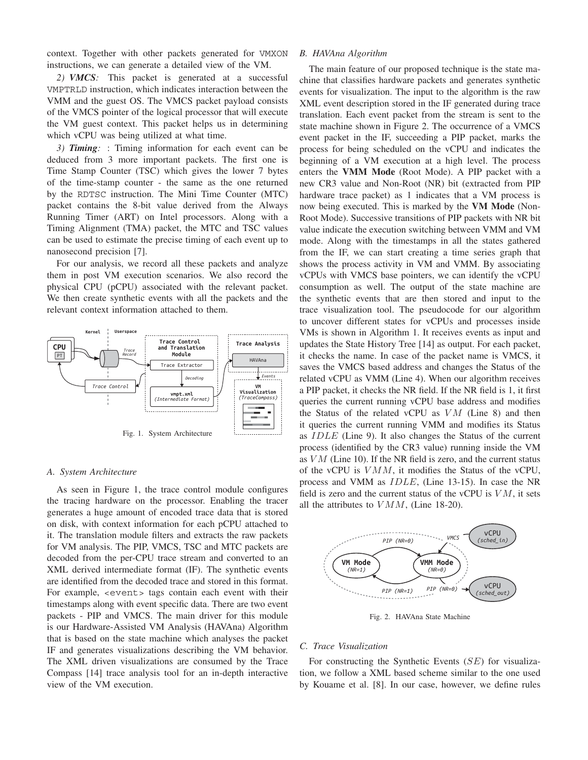context. Together with other packets generated for VMXON instructions, we can generate a detailed view of the VM.

*2) VMCS:* This packet is generated at a successful VMPTRLD instruction, which indicates interaction between the VMM and the guest OS. The VMCS packet payload consists of the VMCS pointer of the logical processor that will execute the VM guest context. This packet helps us in determining which vCPU was being utilized at what time.

*3) Timing:* : Timing information for each event can be deduced from 3 more important packets. The first one is Time Stamp Counter (TSC) which gives the lower 7 bytes of the time-stamp counter - the same as the one returned by the RDTSC instruction. The Mini Time Counter (MTC) packet contains the 8-bit value derived from the Always Running Timer (ART) on Intel processors. Along with a Timing Alignment (TMA) packet, the MTC and TSC values can be used to estimate the precise timing of each event up to nanosecond precision [7].

For our analysis, we record all these packets and analyze them in post VM execution scenarios. We also record the physical CPU (pCPU) associated with the relevant packet. We then create synthetic events with all the packets and the relevant context information attached to them.



#### *A. System Architecture*

As seen in Figure 1, the trace control module configures the tracing hardware on the processor. Enabling the tracer generates a huge amount of encoded trace data that is stored on disk, with context information for each pCPU attached to it. The translation module filters and extracts the raw packets for VM analysis. The PIP, VMCS, TSC and MTC packets are decoded from the per-CPU trace stream and converted to an XML derived intermediate format (IF). The synthetic events are identified from the decoded trace and stored in this format. For example, <event> tags contain each event with their timestamps along with event specific data. There are two event packets - PIP and VMCS. The main driver for this module is our Hardware-Assisted VM Analysis (HAVAna) Algorithm that is based on the state machine which analyses the packet IF and generates visualizations describing the VM behavior. The XML driven visualizations are consumed by the Trace Compass [14] trace analysis tool for an in-depth interactive view of the VM execution.

## *B. HAVAna Algorithm*

The main feature of our proposed technique is the state machine that classifies hardware packets and generates synthetic events for visualization. The input to the algorithm is the raw XML event description stored in the IF generated during trace translation. Each event packet from the stream is sent to the state machine shown in Figure 2. The occurrence of a VMCS event packet in the IF, succeeding a PIP packet, marks the process for being scheduled on the vCPU and indicates the beginning of a VM execution at a high level. The process enters the **VMM Mode** (Root Mode). A PIP packet with a new CR3 value and Non-Root (NR) bit (extracted from PIP hardware trace packet) as 1 indicates that a VM process is now being executed. This is marked by the **VM Mode** (Non-Root Mode). Successive transitions of PIP packets with NR bit value indicate the execution switching between VMM and VM mode. Along with the timestamps in all the states gathered from the IF, we can start creating a time series graph that shows the process activity in VM and VMM. By associating vCPUs with VMCS base pointers, we can identify the vCPU consumption as well. The output of the state machine are the synthetic events that are then stored and input to the trace visualization tool. The pseudocode for our algorithm to uncover different states for vCPUs and processes inside VMs is shown in Algorithm 1. It receives events as input and updates the State History Tree [14] as output. For each packet, it checks the name. In case of the packet name is VMCS, it saves the VMCS based address and changes the Status of the related vCPU as VMM (Line 4). When our algorithm receives a PIP packet, it checks the NR field. If the NR field is 1, it first queries the current running vCPU base address and modifies the Status of the related vCPU as  $VM$  (Line 8) and then it queries the current running VMM and modifies its Status as  $IDLE$  (Line 9). It also changes the Status of the current process (identified by the CR3 value) running inside the VM as  $VM$  (Line 10). If the NR field is zero, and the current status of the vCPU is  $VMM$ , it modifies the Status of the vCPU, process and VMM as  $IDLE$ , (Line 13-15). In case the NR field is zero and the current status of the vCPU is  $VM$ , it sets all the attributes to  $VMM$ , (Line 18-20).



Fig. 2. HAVAna State Machine

#### *C. Trace Visualization*

For constructing the Synthetic Events  $(SE)$  for visualization, we follow a XML based scheme similar to the one used by Kouame et al. [8]. In our case, however, we define rules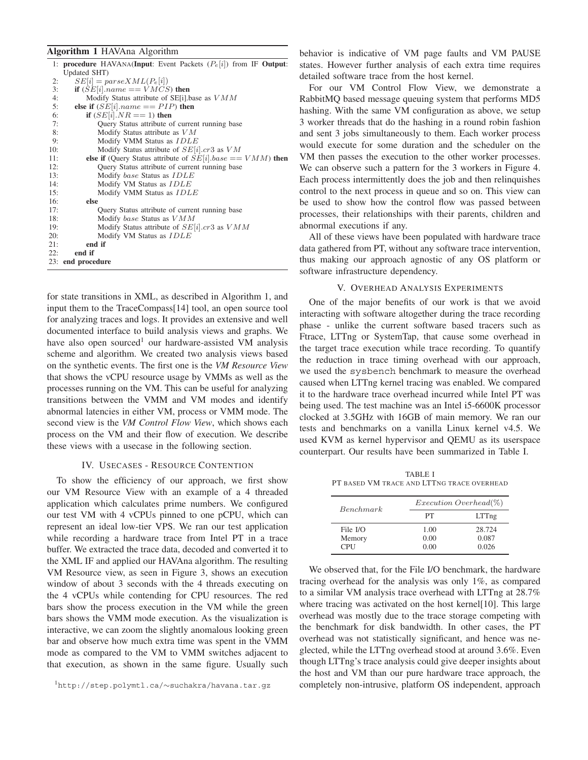# **Algorithm 1** HAVAna Algorithm

|     | 1: <b>procedure</b> HAVANA(Input: Event Packets $(P_e[i])$ from IF Output: |
|-----|----------------------------------------------------------------------------|
|     | Updated SHT)                                                               |
| 2:  | $SE[i] = parseXML(P_e[i])$                                                 |
| 3:  | if $(SE[i].name == VMCS)$ then                                             |
| 4:  | Modify Status attribute of SE[i] base as $VMM$                             |
| 5:  | else if $(SE[i].name == PIP)$ then                                         |
| 6:  | if $(SE[i].NR == 1)$ then                                                  |
| 7:  | Query Status attribute of current running base                             |
| 8:  | Modify Status attribute as $VM$                                            |
| 9:  | Modify VMM Status as <i>IDLE</i>                                           |
| 10: | Modify Status attribute of $SE[i].cr3$ as $VM$                             |
| 11: | else if (Query Status attribute of $SE[i].base == VMM$ ) then              |
| 12: | Query Status attribute of current running base                             |
| 13: | Modify base Status as <i>IDLE</i>                                          |
| 14: | Modify VM Status as IDLE                                                   |
| 15: | Modify VMM Status as <i>IDLE</i>                                           |
| 16: | else                                                                       |
| 17: | Query Status attribute of current running base                             |
| 18: | Modify base Status as VMM                                                  |
| 19: | Modify Status attribute of $SE[i].cr3$ as $VMM$                            |
| 20: | Modify VM Status as <i>IDLE</i>                                            |
| 21: | end if                                                                     |
| 22: | end if                                                                     |
|     | 23: end procedure                                                          |

for state transitions in XML, as described in Algorithm 1, and input them to the TraceCompass[14] tool, an open source tool for analyzing traces and logs. It provides an extensive and well documented interface to build analysis views and graphs. We have also open sourced<sup>1</sup> our hardware-assisted VM analysis scheme and algorithm. We created two analysis views based on the synthetic events. The first one is the *VM Resource View* that shows the vCPU resource usage by VMMs as well as the processes running on the VM. This can be useful for analyzing transitions between the VMM and VM modes and identify abnormal latencies in either VM, process or VMM mode. The second view is the *VM Control Flow View*, which shows each process on the VM and their flow of execution. We describe these views with a usecase in the following section.

#### IV. USECASES - RESOURCE CONTENTION

To show the efficiency of our approach, we first show our VM Resource View with an example of a 4 threaded application which calculates prime numbers. We configured our test VM with 4 vCPUs pinned to one pCPU, which can represent an ideal low-tier VPS. We ran our test application while recording a hardware trace from Intel PT in a trace buffer. We extracted the trace data, decoded and converted it to the XML IF and applied our HAVAna algorithm. The resulting VM Resource view, as seen in Figure 3, shows an execution window of about 3 seconds with the 4 threads executing on the 4 vCPUs while contending for CPU resources. The red bars show the process execution in the VM while the green bars shows the VMM mode execution. As the visualization is interactive, we can zoom the slightly anomalous looking green bar and observe how much extra time was spent in the VMM mode as compared to the VM to VMM switches adjacent to that execution, as shown in the same figure. Usually such

<sup>1</sup>http://step.polymtl.ca/∼suchakra/havana.tar.gz

behavior is indicative of VM page faults and VM PAUSE states. However further analysis of each extra time requires detailed software trace from the host kernel.

For our VM Control Flow View, we demonstrate a RabbitMQ based message queuing system that performs MD5 hashing. With the same VM configuration as above, we setup 3 worker threads that do the hashing in a round robin fashion and sent 3 jobs simultaneously to them. Each worker process would execute for some duration and the scheduler on the VM then passes the execution to the other worker processes. We can observe such a pattern for the 3 workers in Figure 4. Each process intermittently does the job and then relinquishes control to the next process in queue and so on. This view can be used to show how the control flow was passed between processes, their relationships with their parents, children and abnormal executions if any.

All of these views have been populated with hardware trace data gathered from PT, without any software trace intervention, thus making our approach agnostic of any OS platform or software infrastructure dependency.

### V. OVERHEAD ANALYSIS EXPERIMENTS

One of the major benefits of our work is that we avoid interacting with software altogether during the trace recording phase - unlike the current software based tracers such as Ftrace, LTTng or SystemTap, that cause some overhead in the target trace execution while trace recording. To quantify the reduction in trace timing overhead with our approach, we used the sysbench benchmark to measure the overhead caused when LTTng kernel tracing was enabled. We compared it to the hardware trace overhead incurred while Intel PT was being used. The test machine was an Intel i5-6600K processor clocked at 3.5GHz with 16GB of main memory. We ran our tests and benchmarks on a vanilla Linux kernel v4.5. We used KVM as kernel hypervisor and QEMU as its userspace counterpart. Our results have been summarized in Table I.

TABLE I PT BASED VM TRACE AND LTTNG TRACE OVERHEAD

| <i>Benchmark</i>                 | $Execution Overhead(\%)$ |                          |  |
|----------------------------------|--------------------------|--------------------------|--|
|                                  | PT                       | $LT$ Tng                 |  |
| File I/O<br>Memory<br><b>CPU</b> | 1.00<br>0.00<br>0.00     | 28.724<br>0.087<br>0.026 |  |

We observed that, for the File I/O benchmark, the hardware tracing overhead for the analysis was only 1%, as compared to a similar VM analysis trace overhead with LTTng at 28.7% where tracing was activated on the host kernel[10]. This large overhead was mostly due to the trace storage competing with the benchmark for disk bandwidth. In other cases, the PT overhead was not statistically significant, and hence was neglected, while the LTTng overhead stood at around 3.6%. Even though LTTng's trace analysis could give deeper insights about the host and VM than our pure hardware trace approach, the completely non-intrusive, platform OS independent, approach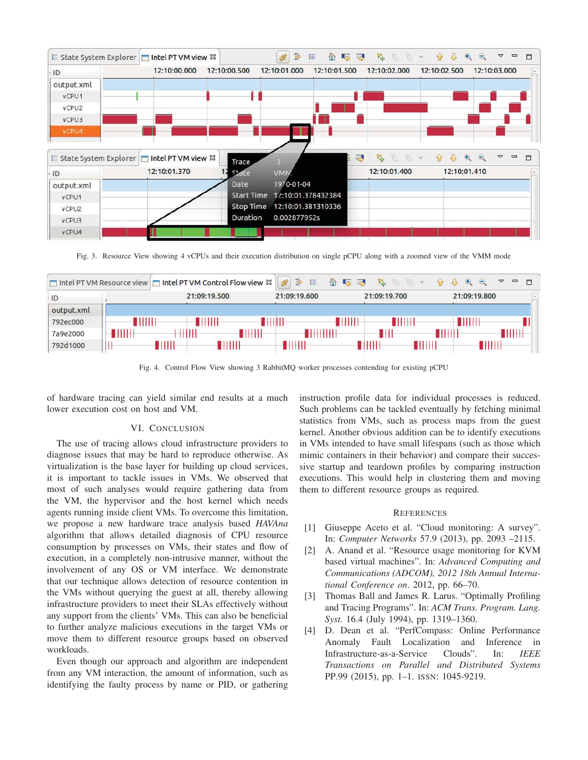

Fig. 3. Resource View showing 4 vCPUs and their execution distribution on single pCPU along with a zoomed view of the VMM mode

|            |                        |                                                                                    | □Intel PT VM Resource view □Intel PT VM Control Flow view $\mathbb{Z} \parallel \mathscr{B} \parallel \nRightarrow \mathbb{H} \parallel \hat{\mathbb{G}}$ 「写 习 」「な & > 」 企 ④ ④ ④                                                                                |                                                                                                                                          | $\qquad \qquad \blacksquare$<br>$\Box$<br>▽ |
|------------|------------------------|------------------------------------------------------------------------------------|-----------------------------------------------------------------------------------------------------------------------------------------------------------------------------------------------------------------------------------------------------------------|------------------------------------------------------------------------------------------------------------------------------------------|---------------------------------------------|
|            |                        | 21:09:19.500                                                                       | 21:09:19.600                                                                                                                                                                                                                                                    | 21:09:19.700                                                                                                                             | 21:09:19.800                                |
| output.xml |                        |                                                                                    |                                                                                                                                                                                                                                                                 |                                                                                                                                          |                                             |
| 792ec000   | $\blacksquare$ +++++++ | $\mathbb{H}$ if if if if                                                           |                                                                                                                                                                                                                                                                 | $\begin{array}{c} \begin{array}{c} \textbf{1} \textbf{1} \textbf{1} \textbf{1} \textbf{1} \textbf{1} \textbf{1} \end{array} \end{array}$ | $\blacksquare$                              |
| 7a9e2000   | $\mathbf{H}$           | $\pmb{\parallel}$ $\pmb{\parallel}$ $\pmb{\parallel}$ $\pmb{\parallel}$<br>┎┠┼┼╂╂╂ | $\begin{array}{c} \begin{array}{c} \textcolor{blue}{\textbf{1}} + \textcolor{blue}{\textbf{1}} + \textcolor{blue}{\textbf{1}} + \textcolor{blue}{\textbf{1}} + \textcolor{blue}{\textbf{1}} + \textcolor{blue}{\textbf{1}} \end{array} \end{array} \end{array}$ | $\overline{\phantom{a}111111}$<br>HН                                                                                                     | $\mathbb{H}$ iffile it.                     |
| 792d1000   | ┠┼╂╂╂╂                 | $\mathbb{H}$ $\mathbb{H}$ $\mathbb{H}$                                             | $\ \ $ $\ \ $ $\ \ $ $\ \ $                                                                                                                                                                                                                                     | ∎††††††<br><b>THHH</b>                                                                                                                   | $\mathsf{H}\mathsf{H}\mathsf{H}$            |

Fig. 4. Control Flow View showing 3 RabbitMQ worker processes contending for existing pCPU

of hardware tracing can yield similar end results at a much lower execution cost on host and VM.

# VI. CONCLUSION

The use of tracing allows cloud infrastructure providers to diagnose issues that may be hard to reproduce otherwise. As virtualization is the base layer for building up cloud services, it is important to tackle issues in VMs. We observed that most of such analyses would require gathering data from the VM, the hypervisor and the host kernel which needs agents running inside client VMs. To overcome this limitation, we propose a new hardware trace analysis based *HAVAna* algorithm that allows detailed diagnosis of CPU resource consumption by processes on VMs, their states and flow of execution, in a completely non-intrusive manner, without the involvement of any OS or VM interface. We demonstrate that our technique allows detection of resource contention in the VMs without querying the guest at all, thereby allowing infrastructure providers to meet their SLAs effectively without any support from the clients' VMs. This can also be beneficial to further analyze malicious executions in the target VMs or move them to different resource groups based on observed workloads.

Even though our approach and algorithm are independent from any VM interaction, the amount of information, such as identifying the faulty process by name or PID, or gathering instruction profile data for individual processes is reduced. Such problems can be tackled eventually by fetching minimal statistics from VMs, such as process maps from the guest kernel. Another obvious addition can be to identify executions in VMs intended to have small lifespans (such as those which mimic containers in their behavior) and compare their successive startup and teardown profiles by comparing instruction executions. This would help in clustering them and moving them to different resource groups as required.

#### **REFERENCES**

- [1] Giuseppe Aceto et al. "Cloud monitoring: A survey". In: *Computer Networks* 57.9 (2013), pp. 2093 –2115.
- [2] A. Anand et al. "Resource usage monitoring for KVM based virtual machines". In: *Advanced Computing and Communications (ADCOM), 2012 18th Annual International Conference on*. 2012, pp. 66–70.
- [3] Thomas Ball and James R. Larus. "Optimally Profiling and Tracing Programs". In: *ACM Trans. Program. Lang. Syst.* 16.4 (July 1994), pp. 1319–1360.
- [4] D. Dean et al. "PerfCompass: Online Performance Anomaly Fault Localization and Inference in Infrastructure-as-a-Service Clouds". In: *IEEE Transactions on Parallel and Distributed Systems* PP.99 (2015), pp. 1–1. ISSN: 1045-9219.